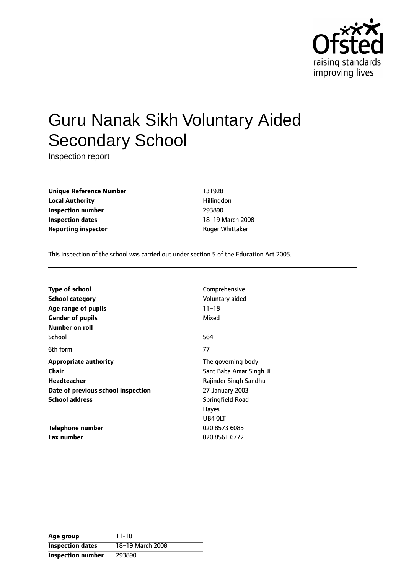

# Guru Nanak Sikh Voluntary Aided Secondary School

Inspection report

**Unique Reference Number** 131928 **Local Authority Hillingdon Inspection number** 293890 **Inspection dates** 18-19 March 2008 **Reporting inspector CONFIDENTIAL REPORTING ROGER Whittaker** 

This inspection of the school was carried out under section 5 of the Education Act 2005.

| Comprehensive           |
|-------------------------|
| Voluntary aided         |
| $11 - 18$               |
| Mixed                   |
|                         |
| 564                     |
| 77                      |
| The governing body      |
| Sant Baba Amar Singh Ji |
| Rajinder Singh Sandhu   |
| 27 January 2003         |
| <b>Springfield Road</b> |
| <b>Hayes</b>            |
| UB4 OLT                 |
| 020 8573 6085           |
| 020 8561 6772           |
|                         |

| Age group                | 11-18            |
|--------------------------|------------------|
| <b>Inspection dates</b>  | 18-19 March 2008 |
| <b>Inspection number</b> | 293890           |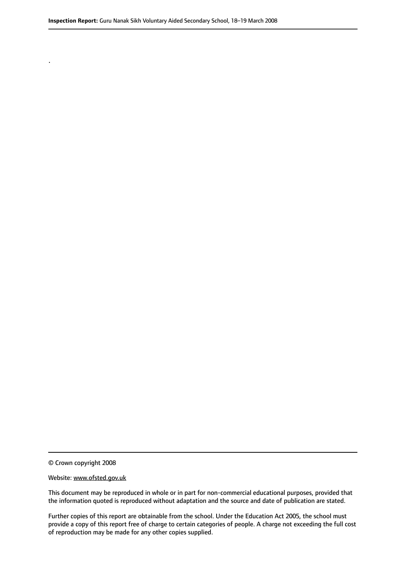© Crown copyright 2008

.

#### Website: www.ofsted.gov.uk

This document may be reproduced in whole or in part for non-commercial educational purposes, provided that the information quoted is reproduced without adaptation and the source and date of publication are stated.

Further copies of this report are obtainable from the school. Under the Education Act 2005, the school must provide a copy of this report free of charge to certain categories of people. A charge not exceeding the full cost of reproduction may be made for any other copies supplied.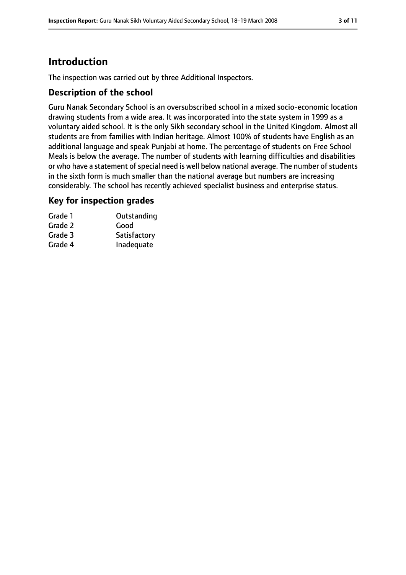# **Introduction**

The inspection was carried out by three Additional Inspectors.

### **Description of the school**

Guru Nanak Secondary School is an oversubscribed school in a mixed socio-economic location drawing students from a wide area. It was incorporated into the state system in 1999 as a voluntary aided school. It is the only Sikh secondary school in the United Kingdom. Almost all students are from families with Indian heritage. Almost 100% of students have English as an additional language and speak Punjabi at home. The percentage of students on Free School Meals is below the average. The number of students with learning difficulties and disabilities or who have a statement of special need is well below national average. The number of students in the sixth form is much smaller than the national average but numbers are increasing considerably. The school has recently achieved specialist business and enterprise status.

### **Key for inspection grades**

| Grade 1 | Outstanding  |
|---------|--------------|
| Grade 2 | Good         |
| Grade 3 | Satisfactory |
| Grade 4 | Inadequate   |
|         |              |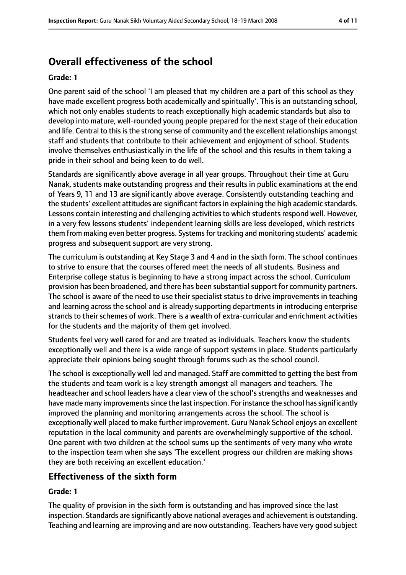# **Overall effectiveness of the school**

#### **Grade: 1**

One parent said of the school 'I am pleased that my children are a part of this school as they have made excellent progress both academically and spiritually'. This is an outstanding school, which not only enables students to reach exceptionally high academic standards but also to develop into mature, well-rounded young people prepared for the next stage of their education and life. Central to this is the strong sense of community and the excellent relationships amongst staff and students that contribute to their achievement and enjoyment of school. Students involve themselves enthusiastically in the life of the school and this results in them taking a pride in their school and being keen to do well.

Standards are significantly above average in all year groups. Throughout their time at Guru Nanak, students make outstanding progress and their results in public examinations at the end of Years 9, 11 and 13 are significantly above average. Consistently outstanding teaching and the students' excellent attitudes are significant factorsin explaining the high academic standards. Lessons contain interesting and challenging activities to which students respond well. However, in a very few lessons students' independent learning skills are less developed, which restricts them from making even better progress. Systemsfor tracking and monitoring students' academic progress and subsequent support are very strong.

The curriculum is outstanding at Key Stage 3 and 4 and in the sixth form. The school continues to strive to ensure that the courses offered meet the needs of all students. Business and Enterprise college status is beginning to have a strong impact across the school. Curriculum provision has been broadened, and there has been substantial support for community partners. The school is aware of the need to use their specialist status to drive improvements in teaching and learning across the school and is already supporting departments in introducing enterprise strands to their schemes of work. There is a wealth of extra-curricular and enrichment activities for the students and the majority of them get involved.

Students feel very well cared for and are treated as individuals. Teachers know the students exceptionally well and there is a wide range of support systems in place. Students particularly appreciate their opinions being sought through forums such as the school council.

The school is exceptionally well led and managed. Staff are committed to getting the best from the students and team work is a key strength amongst all managers and teachers. The headteacher and school leaders have a clear view of the school's strengths and weaknesses and have made many improvements since the last inspection. For instance the school has significantly improved the planning and monitoring arrangements across the school. The school is exceptionally well placed to make further improvement. Guru Nanak School enjoys an excellent reputation in the local community and parents are overwhelmingly supportive of the school. One parent with two children at the school sums up the sentiments of very many who wrote to the inspection team when she says 'The excellent progress our children are making shows they are both receiving an excellent education.'

### **Effectiveness of the sixth form**

#### **Grade: 1**

The quality of provision in the sixth form is outstanding and has improved since the last inspection. Standards are significantly above national averages and achievement is outstanding. Teaching and learning are improving and are now outstanding. Teachers have very good subject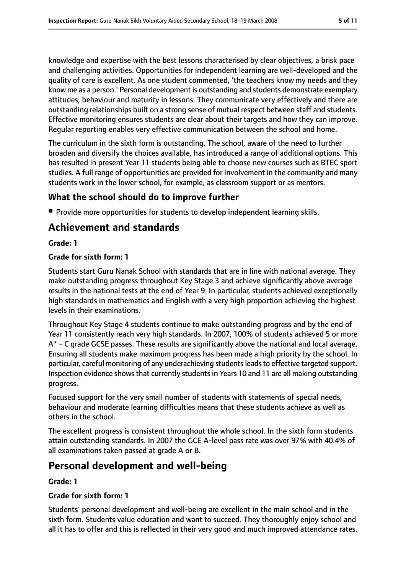knowledge and expertise with the best lessons characterised by clear objectives, a brisk pace and challenging activities. Opportunities for independent learning are well-developed and the quality of care is excellent. As one student commented, 'the teachers know my needs and they know me as a person.' Personal development is outstanding and students demonstrate exemplary attitudes, behaviour and maturity in lessons. They communicate very effectively and there are outstanding relationships built on a strong sense of mutual respect between staff and students. Effective monitoring ensures students are clear about their targets and how they can improve. Regular reporting enables very effective communication between the school and home.

The curriculum in the sixth form is outstanding. The school, aware of the need to further broaden and diversify the choices available, has introduced a range of additional options. This has resulted in present Year 11 students being able to choose new courses such as BTEC sport studies. A full range of opportunities are provided for involvement in the community and many students work in the lower school, for example, as classroom support or as mentors.

## **What the school should do to improve further**

■ Provide more opportunities for students to develop independent learning skills.

# **Achievement and standards**

**Grade: 1**

### **Grade for sixth form: 1**

Students start Guru Nanak School with standards that are in line with national average. They make outstanding progress throughout Key Stage 3 and achieve significantly above average results in the national tests at the end of Year 9. In particular, students achieved exceptionally high standards in mathematics and English with a very high proportion achieving the highest levels in their examinations.

Throughout Key Stage 4 students continue to make outstanding progress and by the end of Year 11 consistently reach very high standards. In 2007, 100% of students achieved 5 or more A\* - C grade GCSE passes. These results are significantly above the national and local average. Ensuring all students make maximum progress has been made a high priority by the school. In particular, careful monitoring of any underachieving students leads to effective targeted support. Inspection evidence shows that currently students in Years 10 and 11 are all making outstanding progress.

Focused support for the very small number of students with statements of special needs, behaviour and moderate learning difficulties means that these students achieve as well as others in the school.

The excellent progress is consistent throughout the whole school. In the sixth form students attain outstanding standards. In 2007 the GCE A-level pass rate was over 97% with 40.4% of all examinations taken passed at grade A or B.

# **Personal development and well-being**

**Grade: 1**

### **Grade for sixth form: 1**

Students' personal development and well-being are excellent in the main school and in the sixth form. Students value education and want to succeed. They thoroughly enjoy school and all it has to offer and this is reflected in their very good and much improved attendance rates.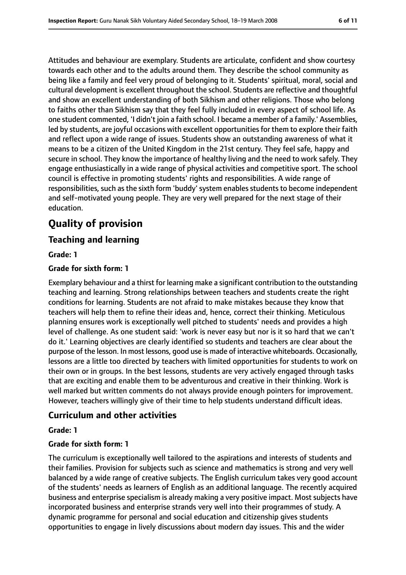Attitudes and behaviour are exemplary. Students are articulate, confident and show courtesy towards each other and to the adults around them. They describe the school community as being like a family and feel very proud of belonging to it. Students' spiritual, moral, social and cultural development is excellent throughout the school. Students are reflective and thoughtful and show an excellent understanding of both Sikhism and other religions. Those who belong to faiths other than Sikhism say that they feel fully included in every aspect of school life. As one student commented, 'I didn't join a faith school. I became a member of a family.' Assemblies, led by students, are joyful occasions with excellent opportunities for them to explore their faith and reflect upon a wide range of issues. Students show an outstanding awareness of what it means to be a citizen of the United Kingdom in the 21st century. They feel safe, happy and secure in school. They know the importance of healthy living and the need to work safely. They engage enthusiastically in a wide range of physical activities and competitive sport. The school council is effective in promoting students' rights and responsibilities. A wide range of responsibilities, such as the sixth form 'buddy' system enables students to become independent and self-motivated young people. They are very well prepared for the next stage of their education.

# **Quality of provision**

### **Teaching and learning**

#### **Grade: 1**

#### **Grade for sixth form: 1**

Exemplary behaviour and a thirst for learning make a significant contribution to the outstanding teaching and learning. Strong relationships between teachers and students create the right conditions for learning. Students are not afraid to make mistakes because they know that teachers will help them to refine their ideas and, hence, correct their thinking. Meticulous planning ensures work is exceptionally well pitched to students' needs and provides a high level of challenge. As one student said: 'work is never easy but nor is it so hard that we can't do it.' Learning objectives are clearly identified so students and teachers are clear about the purpose of the lesson. In most lessons, good use is made of interactive whiteboards. Occasionally, lessons are a little too directed by teachers with limited opportunities for students to work on their own or in groups. In the best lessons, students are very actively engaged through tasks that are exciting and enable them to be adventurous and creative in their thinking. Work is well marked but written comments do not always provide enough pointers for improvement. However, teachers willingly give of their time to help students understand difficult ideas.

### **Curriculum and other activities**

#### **Grade: 1**

#### **Grade for sixth form: 1**

The curriculum is exceptionally well tailored to the aspirations and interests of students and their families. Provision for subjects such as science and mathematics is strong and very well balanced by a wide range of creative subjects. The English curriculum takes very good account of the students' needs as learners of English as an additional language. The recently acquired business and enterprise specialism is already making a very positive impact. Most subjects have incorporated business and enterprise strands very well into their programmes of study. A dynamic programme for personal and social education and citizenship gives students opportunities to engage in lively discussions about modern day issues. This and the wider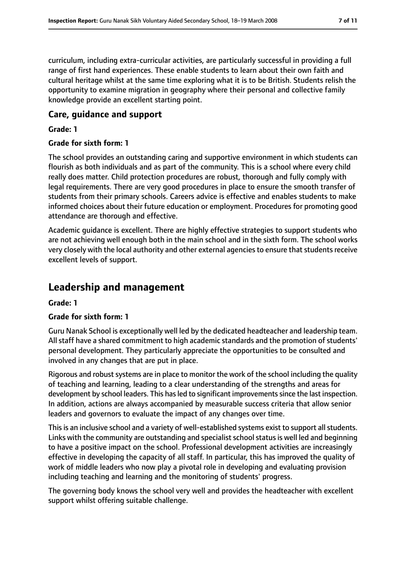curriculum, including extra-curricular activities, are particularly successful in providing a full range of first hand experiences. These enable students to learn about their own faith and cultural heritage whilst at the same time exploring what it is to be British. Students relish the opportunity to examine migration in geography where their personal and collective family knowledge provide an excellent starting point.

### **Care, guidance and support**

#### **Grade: 1**

#### **Grade for sixth form: 1**

The school provides an outstanding caring and supportive environment in which students can flourish as both individuals and as part of the community. This is a school where every child really does matter. Child protection procedures are robust, thorough and fully comply with legal requirements. There are very good procedures in place to ensure the smooth transfer of students from their primary schools. Careers advice is effective and enables students to make informed choices about their future education or employment. Procedures for promoting good attendance are thorough and effective.

Academic guidance is excellent. There are highly effective strategies to support students who are not achieving well enough both in the main school and in the sixth form. The school works very closely with the local authority and other external agencies to ensure that students receive excellent levels of support.

# **Leadership and management**

#### **Grade: 1**

### **Grade for sixth form: 1**

Guru Nanak School is exceptionally well led by the dedicated headteacher and leadership team. All staff have a shared commitment to high academic standards and the promotion of students' personal development. They particularly appreciate the opportunities to be consulted and involved in any changes that are put in place.

Rigorous and robust systems are in place to monitor the work of the school including the quality of teaching and learning, leading to a clear understanding of the strengths and areas for development by school leaders. This has led to significant improvements since the last inspection. In addition, actions are always accompanied by measurable success criteria that allow senior leaders and governors to evaluate the impact of any changes over time.

This is an inclusive school and a variety of well-established systems exist to support all students. Links with the community are outstanding and specialist school status is well led and beginning to have a positive impact on the school. Professional development activities are increasingly effective in developing the capacity of all staff. In particular, this has improved the quality of work of middle leaders who now play a pivotal role in developing and evaluating provision including teaching and learning and the monitoring of students' progress.

The governing body knows the school very well and provides the headteacher with excellent support whilst offering suitable challenge.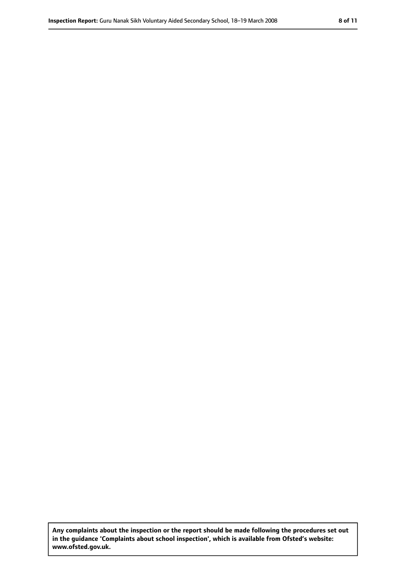**Any complaints about the inspection or the report should be made following the procedures set out in the guidance 'Complaints about school inspection', which is available from Ofsted's website: www.ofsted.gov.uk.**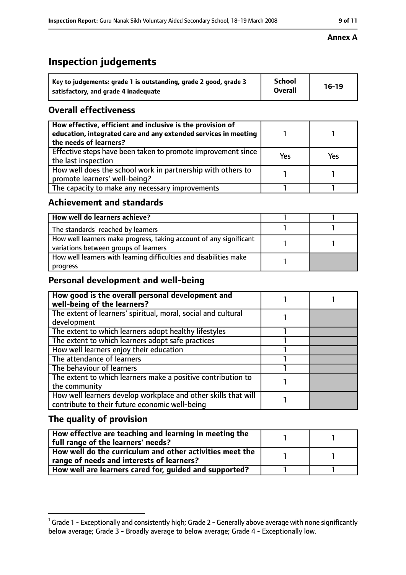# **Inspection judgements**

| Key to judgements: grade 1 is outstanding, grade 2 good, grade 3 | <b>School</b>  | $16-19$ |
|------------------------------------------------------------------|----------------|---------|
| satisfactory, and grade 4 inadequate                             | <b>Overall</b> |         |

# **Overall effectiveness**

| How effective, efficient and inclusive is the provision of<br>education, integrated care and any extended services in meeting<br>the needs of learners? |     |     |
|---------------------------------------------------------------------------------------------------------------------------------------------------------|-----|-----|
| Effective steps have been taken to promote improvement since<br>the last inspection                                                                     | Yes | Yes |
| How well does the school work in partnership with others to<br>promote learners' well-being?                                                            |     |     |
| The capacity to make any necessary improvements                                                                                                         |     |     |

# **Achievement and standards**

| How well do learners achieve?                                                                               |  |
|-------------------------------------------------------------------------------------------------------------|--|
| The standards <sup>1</sup> reached by learners                                                              |  |
| How well learners make progress, taking account of any significant<br>variations between groups of learners |  |
| How well learners with learning difficulties and disabilities make<br>progress                              |  |

# **Personal development and well-being**

| How good is the overall personal development and<br>well-being of the learners?                                  |  |
|------------------------------------------------------------------------------------------------------------------|--|
| The extent of learners' spiritual, moral, social and cultural                                                    |  |
| development                                                                                                      |  |
| The extent to which learners adopt healthy lifestyles                                                            |  |
| The extent to which learners adopt safe practices                                                                |  |
| How well learners enjoy their education                                                                          |  |
| The attendance of learners                                                                                       |  |
| The behaviour of learners                                                                                        |  |
| The extent to which learners make a positive contribution to                                                     |  |
| the community                                                                                                    |  |
| How well learners develop workplace and other skills that will<br>contribute to their future economic well-being |  |

# **The quality of provision**

| How effective are teaching and learning in meeting the<br>full range of the learners' needs?          |  |
|-------------------------------------------------------------------------------------------------------|--|
| How well do the curriculum and other activities meet the<br>range of needs and interests of learners? |  |
| How well are learners cared for, guided and supported?                                                |  |

### **Annex A**

 $^1$  Grade 1 - Exceptionally and consistently high; Grade 2 - Generally above average with none significantly below average; Grade 3 - Broadly average to below average; Grade 4 - Exceptionally low.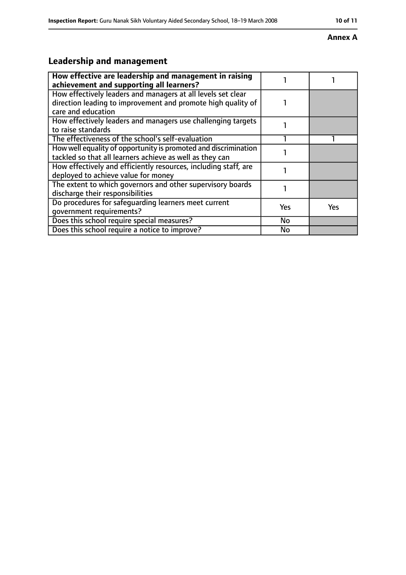#### **Annex A**

# **Leadership and management**

| How effective are leadership and management in raising<br>achievement and supporting all learners?                                                 |            |     |
|----------------------------------------------------------------------------------------------------------------------------------------------------|------------|-----|
| How effectively leaders and managers at all levels set clear<br>direction leading to improvement and promote high quality of<br>care and education |            |     |
| How effectively leaders and managers use challenging targets<br>to raise standards                                                                 |            |     |
| The effectiveness of the school's self-evaluation                                                                                                  |            |     |
| How well equality of opportunity is promoted and discrimination<br>tackled so that all learners achieve as well as they can                        |            |     |
| How effectively and efficiently resources, including staff, are<br>deployed to achieve value for money                                             |            |     |
| The extent to which governors and other supervisory boards<br>discharge their responsibilities                                                     |            |     |
| Do procedures for safequarding learners meet current<br>qovernment requirements?                                                                   | <b>Yes</b> | Yes |
| Does this school require special measures?                                                                                                         | <b>No</b>  |     |
| Does this school require a notice to improve?                                                                                                      | No         |     |